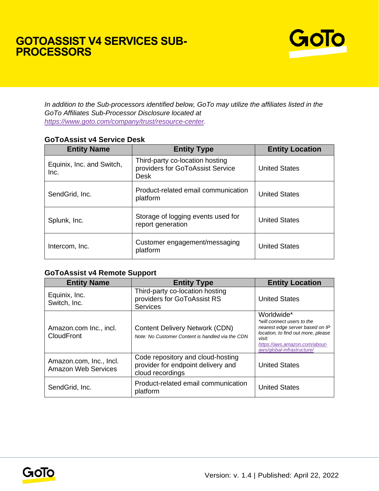## **GOTOASSIST V4 SERVICES SUB-PROCESSORS**



*In addition to the Sub-processors identified below, GoTo may utilize the affiliates listed in the GoTo Affiliates Sub-Processor Disclosure located at [https://www.goto.com/company/trust/resource-center.](https://www.goto.com/company/trust/resource-center)*

| <b>Entity Name</b>                | <b>Entity Type</b>                                                                 | <b>Entity Location</b> |
|-----------------------------------|------------------------------------------------------------------------------------|------------------------|
| Equinix, Inc. and Switch,<br>Inc. | Third-party co-location hosting<br>providers for GoToAssist Service<br><b>Desk</b> | <b>United States</b>   |
| SendGrid, Inc.                    | Product-related email communication<br>platform                                    | <b>United States</b>   |
| Splunk, Inc.                      | Storage of logging events used for<br>report generation                            | <b>United States</b>   |
| Intercom, Inc.                    | Customer engagement/messaging<br>platform                                          | <b>United States</b>   |

## **GoToAssist v4 Service Desk**

## **GoToAssist v4 Remote Support**

| <b>Entity Name</b>                                    | <b>Entity Type</b>                                                                          | <b>Entity Location</b>                                                                                                                                                                     |
|-------------------------------------------------------|---------------------------------------------------------------------------------------------|--------------------------------------------------------------------------------------------------------------------------------------------------------------------------------------------|
| Equinix, Inc.<br>Switch, Inc.                         | Third-party co-location hosting<br>providers for GoToAssist RS<br><b>Services</b>           | <b>United States</b>                                                                                                                                                                       |
| Amazon.com Inc., incl.<br><b>CloudFront</b>           | <b>Content Delivery Network (CDN)</b><br>Note: No Customer Content is handled via the CDN   | Worldwide*<br>*will connect users to the<br>nearest edge server based on IP<br>location, to find out more, please<br>visit:<br>https://aws.amazon.com/about-<br>aws/global-infrastructure/ |
| Amazon.com, Inc., Incl.<br><b>Amazon Web Services</b> | Code repository and cloud-hosting<br>provider for endpoint delivery and<br>cloud recordings | <b>United States</b>                                                                                                                                                                       |
| SendGrid, Inc.                                        | Product-related email communication<br>platform                                             | <b>United States</b>                                                                                                                                                                       |